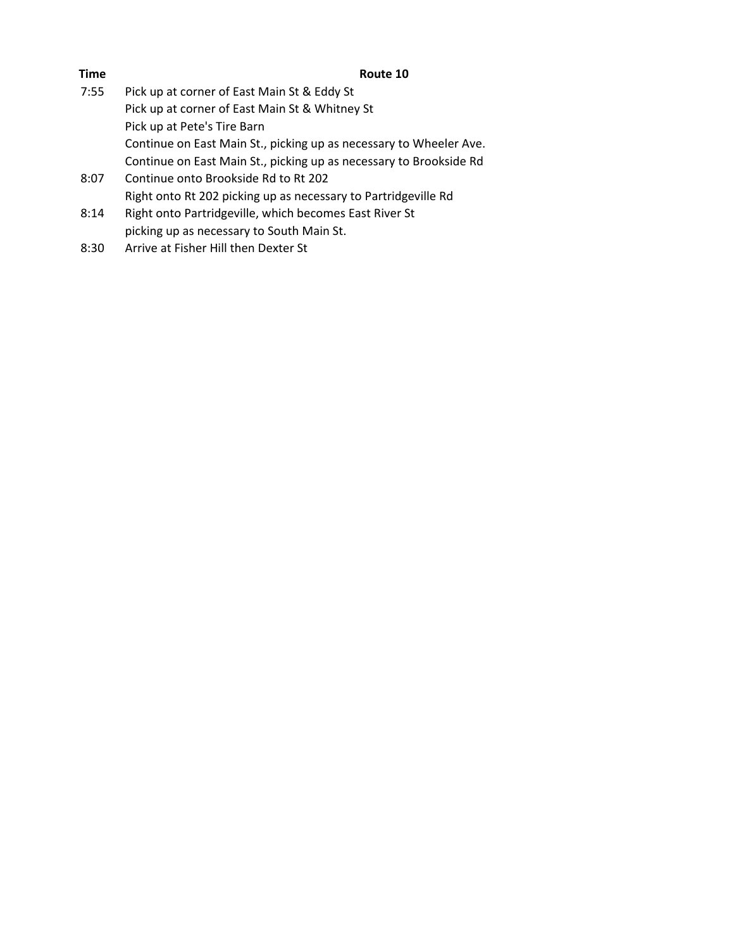| Pick up at corner of East Main St & Eddy St                        |
|--------------------------------------------------------------------|
| Pick up at corner of East Main St & Whitney St                     |
| Pick up at Pete's Tire Barn                                        |
| Continue on East Main St., picking up as necessary to Wheeler Ave. |
| Continue on East Main St., picking up as necessary to Brookside Rd |
| Continue onto Brookside Rd to Rt 202                               |
| Right onto Rt 202 picking up as necessary to Partridgeville Rd     |
| Right onto Partridgeville, which becomes East River St             |
| picking up as necessary to South Main St.                          |
|                                                                    |

8:30 Arrive at Fisher Hill then Dexter St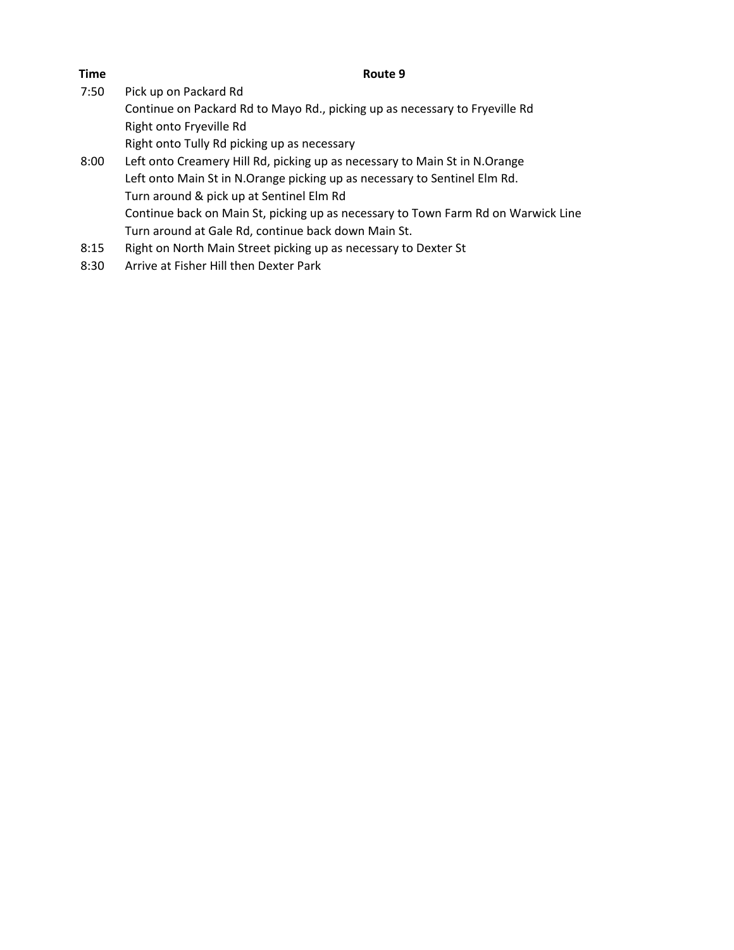7:50 Pick up on Packard Rd

Continue on Packard Rd to Mayo Rd., picking up as necessary to Fryeville Rd Right onto Fryeville Rd

Right onto Tully Rd picking up as necessary

- 8:00 Left onto Creamery Hill Rd, picking up as necessary to Main St in N.Orange Left onto Main St in N.Orange picking up as necessary to Sentinel Elm Rd. Turn around & pick up at Sentinel Elm Rd Continue back on Main St, picking up as necessary to Town Farm Rd on Warwick Line Turn around at Gale Rd, continue back down Main St.
- 8:15 Right on North Main Street picking up as necessary to Dexter St
- 8:30 Arrive at Fisher Hill then Dexter Park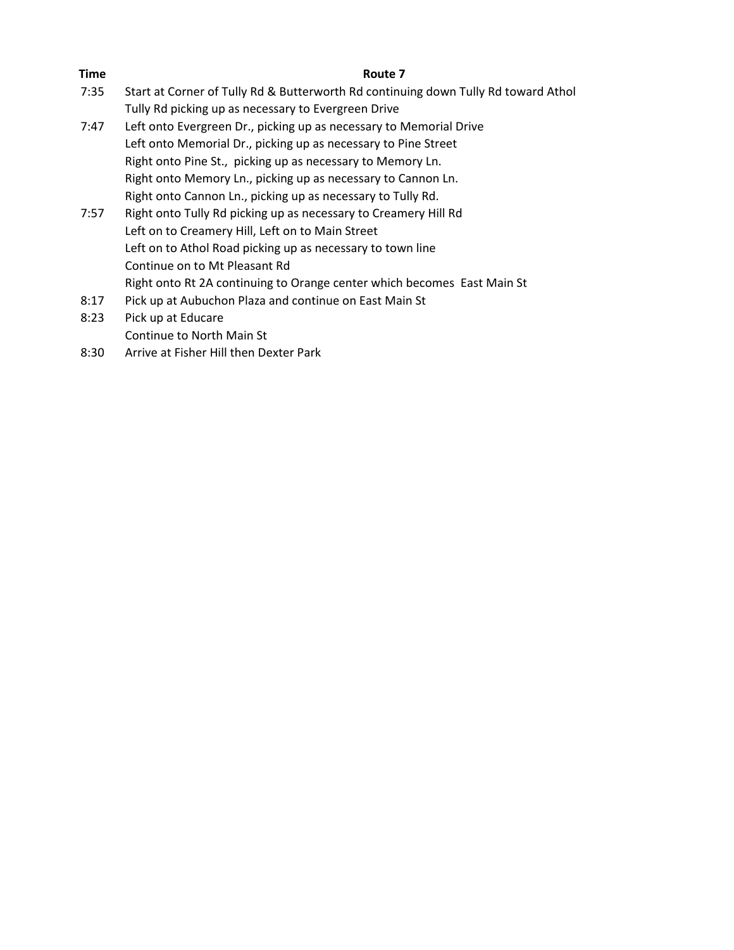| Time | Route 7                                                                            |
|------|------------------------------------------------------------------------------------|
| 7:35 | Start at Corner of Tully Rd & Butterworth Rd continuing down Tully Rd toward Athol |
|      | Tully Rd picking up as necessary to Evergreen Drive                                |
| 7:47 | Left onto Evergreen Dr., picking up as necessary to Memorial Drive                 |
|      | Left onto Memorial Dr., picking up as necessary to Pine Street                     |
|      | Right onto Pine St., picking up as necessary to Memory Ln.                         |
|      | Right onto Memory Ln., picking up as necessary to Cannon Ln.                       |
|      | Right onto Cannon Ln., picking up as necessary to Tully Rd.                        |
| 7:57 | Right onto Tully Rd picking up as necessary to Creamery Hill Rd                    |
|      | Left on to Creamery Hill, Left on to Main Street                                   |
|      | Left on to Athol Road picking up as necessary to town line                         |
|      | Continue on to Mt Pleasant Rd                                                      |
|      | Right onto Rt 2A continuing to Orange center which becomes East Main St            |
| 8:17 | Pick up at Aubuchon Plaza and continue on East Main St                             |
| 8:23 | Pick up at Educare                                                                 |
|      | Continue to North Main St                                                          |
| 8:30 | Arrive at Fisher Hill then Dexter Park                                             |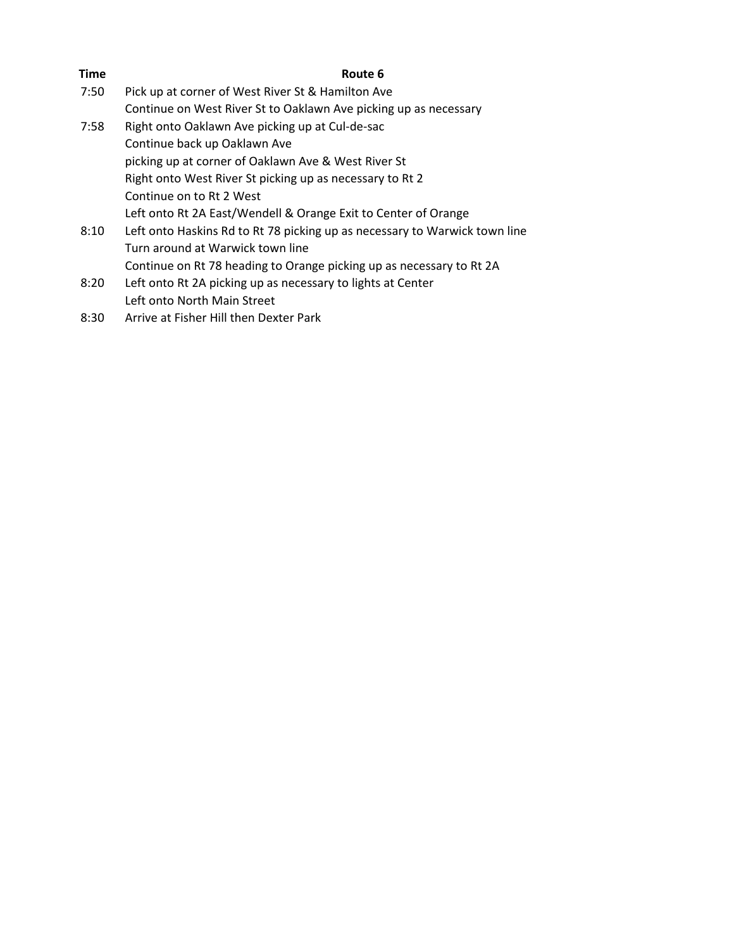| <b>Time</b> | Route 6                                                                    |
|-------------|----------------------------------------------------------------------------|
| 7:50        | Pick up at corner of West River St & Hamilton Ave                          |
|             | Continue on West River St to Oaklawn Ave picking up as necessary           |
| 7:58        | Right onto Oaklawn Ave picking up at Cul-de-sac                            |
|             | Continue back up Oaklawn Ave                                               |
|             | picking up at corner of Oaklawn Ave & West River St                        |
|             | Right onto West River St picking up as necessary to Rt 2                   |
|             | Continue on to Rt 2 West                                                   |
|             | Left onto Rt 2A East/Wendell & Orange Exit to Center of Orange             |
| 8:10        | Left onto Haskins Rd to Rt 78 picking up as necessary to Warwick town line |
|             | Turn around at Warwick town line                                           |
|             | Continue on Rt 78 heading to Orange picking up as necessary to Rt 2A       |
| 8:20        | Left onto Rt 2A picking up as necessary to lights at Center                |
|             | Left onto North Main Street                                                |
|             |                                                                            |

8:30 Arrive at Fisher Hill then Dexter Park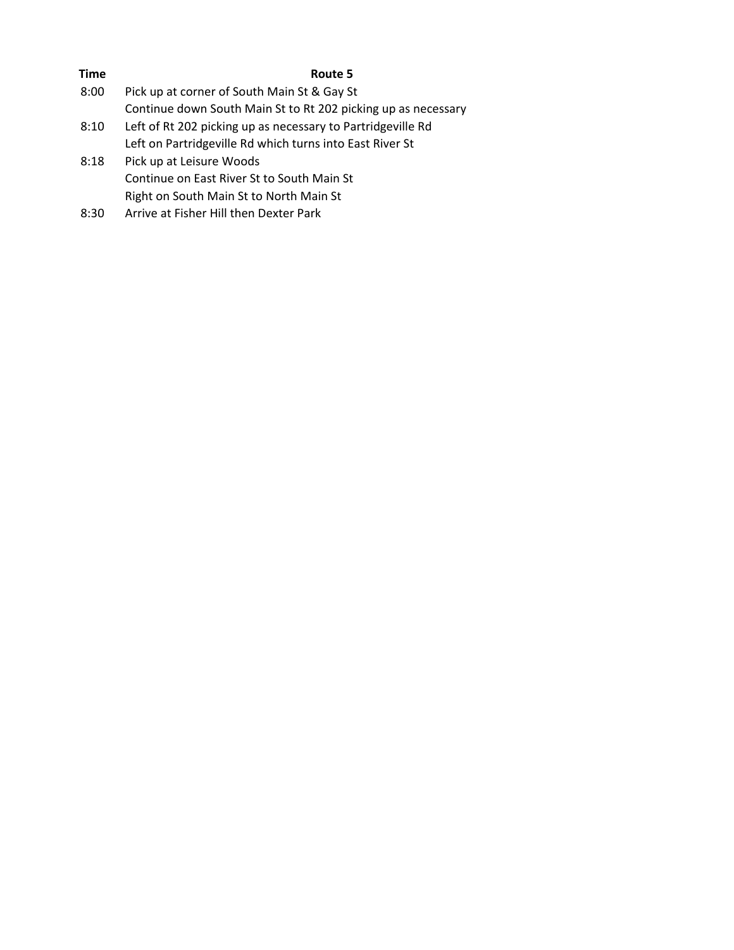| Time | Route 5                                                       |
|------|---------------------------------------------------------------|
| 8:00 | Pick up at corner of South Main St & Gay St                   |
|      | Continue down South Main St to Rt 202 picking up as necessary |
| 8:10 | Left of Rt 202 picking up as necessary to Partridgeville Rd   |
|      | Left on Partridgeville Rd which turns into East River St      |
| 8:18 | Pick up at Leisure Woods                                      |
|      | Continue on East River St to South Main St                    |
|      | Right on South Main St to North Main St                       |
| 8:30 | Arrive at Fisher Hill then Dexter Park                        |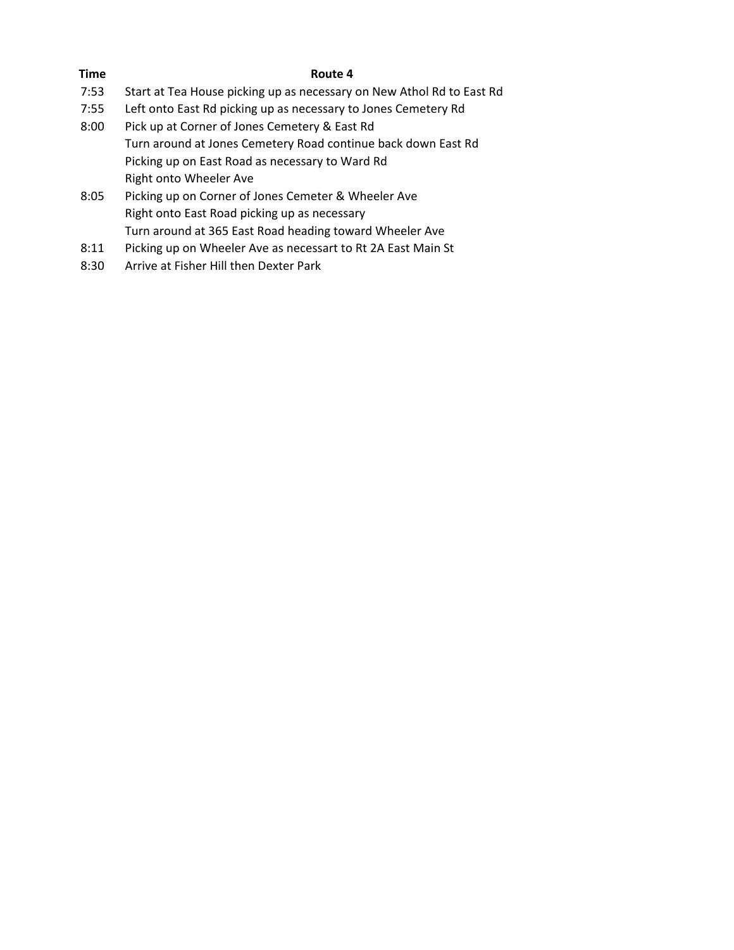- 7:53 Start at Tea House picking up as necessary on New Athol Rd to East Rd
- 7:55 Left onto East Rd picking up as necessary to Jones Cemetery Rd
- 8:00 Pick up at Corner of Jones Cemetery & East Rd Turn around at Jones Cemetery Road continue back down East Rd Picking up on East Road as necessary to Ward Rd Right onto Wheeler Ave
- 8:05 Picking up on Corner of Jones Cemeter & Wheeler Ave Right onto East Road picking up as necessary Turn around at 365 East Road heading toward Wheeler Ave
- 8:11 Picking up on Wheeler Ave as necessart to Rt 2A East Main St
- 8:30 Arrive at Fisher Hill then Dexter Park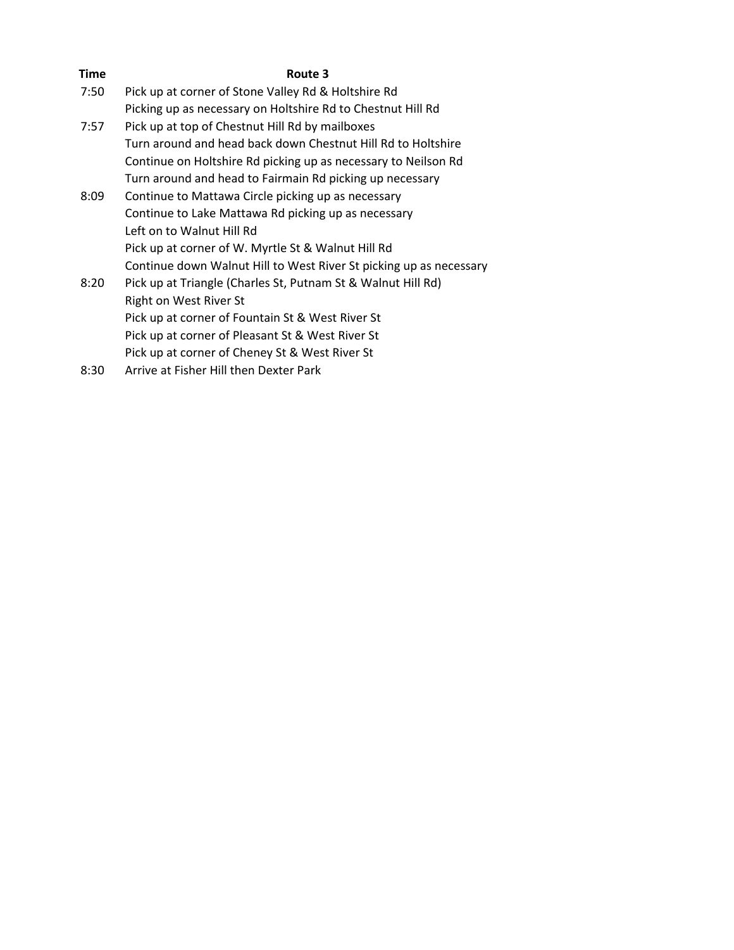| <b>Time</b> | Route 3                                                            |
|-------------|--------------------------------------------------------------------|
| 7:50        | Pick up at corner of Stone Valley Rd & Holtshire Rd                |
|             | Picking up as necessary on Holtshire Rd to Chestnut Hill Rd        |
| 7:57        | Pick up at top of Chestnut Hill Rd by mailboxes                    |
|             | Turn around and head back down Chestnut Hill Rd to Holtshire       |
|             | Continue on Holtshire Rd picking up as necessary to Neilson Rd     |
|             | Turn around and head to Fairmain Rd picking up necessary           |
| 8:09        | Continue to Mattawa Circle picking up as necessary                 |
|             | Continue to Lake Mattawa Rd picking up as necessary                |
|             | Left on to Walnut Hill Rd                                          |
|             | Pick up at corner of W. Myrtle St & Walnut Hill Rd                 |
|             | Continue down Walnut Hill to West River St picking up as necessary |
| 8:20        | Pick up at Triangle (Charles St, Putnam St & Walnut Hill Rd)       |
|             | Right on West River St                                             |
|             | Pick up at corner of Fountain St & West River St                   |
|             | Pick up at corner of Pleasant St & West River St                   |
|             | Pick up at corner of Cheney St & West River St                     |
| 8:30        | Arrive at Fisher Hill then Dexter Park                             |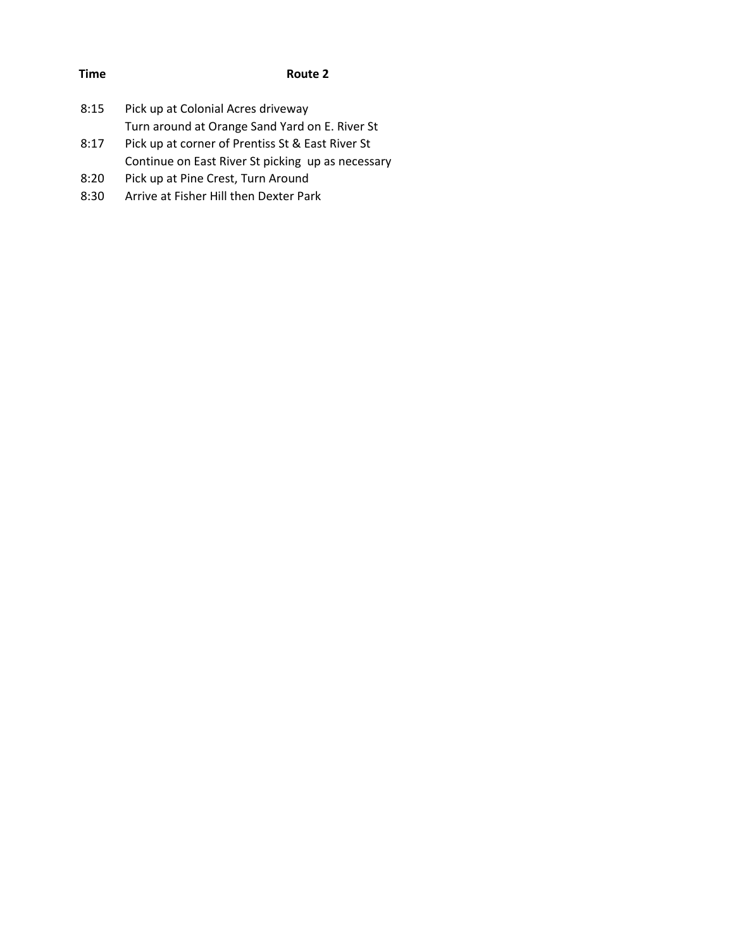| <b>Time</b> | Route 2                                           |
|-------------|---------------------------------------------------|
|             |                                                   |
| 8:15        | Pick up at Colonial Acres driveway                |
|             | Turn around at Orange Sand Yard on E. River St    |
| 8:17        | Pick up at corner of Prentiss St & East River St  |
|             | Continue on East River St picking up as necessary |
| 8:20        | Pick up at Pine Crest, Turn Around                |
| 8:30        | Arrive at Fisher Hill then Dexter Park            |
|             |                                                   |